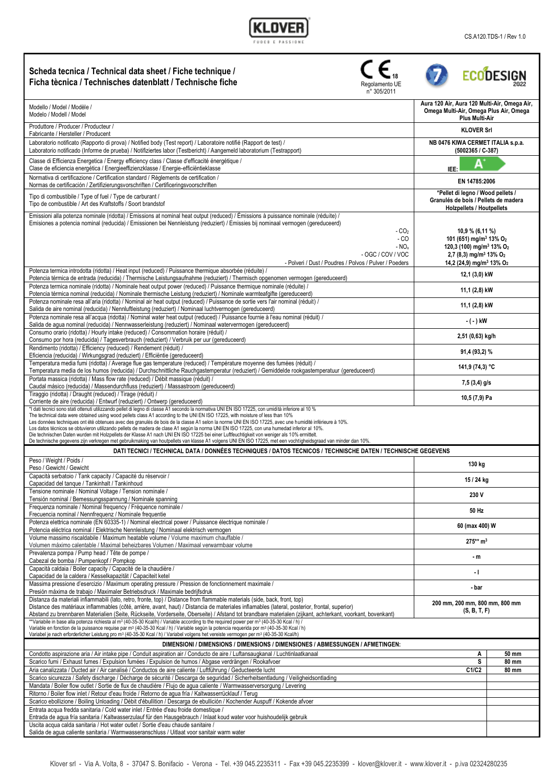Г

| Scheda tecnica / Technical data sheet / Fiche technique /<br>Ficha tècnica / Technisches datenblatt / Technische fiche<br>Regolamento UE<br>n° 305/2011                                                                                                                                                                                                                                                                                                                                                                                                                                                                                                                                                                                                                                                                                                                                                                                                                                                   |                                                                                                                                                                                                                             | <b>ECODESIGN</b> |
|-----------------------------------------------------------------------------------------------------------------------------------------------------------------------------------------------------------------------------------------------------------------------------------------------------------------------------------------------------------------------------------------------------------------------------------------------------------------------------------------------------------------------------------------------------------------------------------------------------------------------------------------------------------------------------------------------------------------------------------------------------------------------------------------------------------------------------------------------------------------------------------------------------------------------------------------------------------------------------------------------------------|-----------------------------------------------------------------------------------------------------------------------------------------------------------------------------------------------------------------------------|------------------|
| Modello / Model / Modèle /<br>Modelo / Modell / Model                                                                                                                                                                                                                                                                                                                                                                                                                                                                                                                                                                                                                                                                                                                                                                                                                                                                                                                                                     | Aura 120 Air, Aura 120 Multi-Air, Omega Air,<br>Omega Multi-Air, Omega Plus Air, Omega<br><b>Plus Multi-Air</b>                                                                                                             |                  |
| Produttore / Producer / Producteur /<br>Fabricante / Hersteller / Producent                                                                                                                                                                                                                                                                                                                                                                                                                                                                                                                                                                                                                                                                                                                                                                                                                                                                                                                               | <b>KLOVER Srl</b>                                                                                                                                                                                                           |                  |
| Laboratorio notificato (Rapporto di prova) / Notified body (Test report) / Laboratoire notifié (Rapport de test) /<br>Laboratorio notificado (Informe de prueba) / Notifiziertes labor (Testbericht) / Aangemeld laboratorium (Testrapport)                                                                                                                                                                                                                                                                                                                                                                                                                                                                                                                                                                                                                                                                                                                                                               | NB 0476 KIWA CERMET ITALIA s.p.a.<br>$(5002365 / C - 387)$                                                                                                                                                                  |                  |
| Classe di Efficienza Energetica / Energy efficiency class / Classe d'efficacité énergétique /<br>Clase de eficiencia energética / Energieeffizienzklasse / Energie-efficiëntieklasse                                                                                                                                                                                                                                                                                                                                                                                                                                                                                                                                                                                                                                                                                                                                                                                                                      | A<br>IEE:                                                                                                                                                                                                                   |                  |
| Normativa di certificazione / Certification standard / Règlements de certification /<br>Normas de certificación / Zertifizierungsvorschriften / Certificeringsvoorschriften                                                                                                                                                                                                                                                                                                                                                                                                                                                                                                                                                                                                                                                                                                                                                                                                                               | EN 14785:2006                                                                                                                                                                                                               |                  |
| Tipo di combustibile / Type of fuel / Type de carburant /<br>Tipo de combustible / Art des Kraftstoffs / Soort brandstof                                                                                                                                                                                                                                                                                                                                                                                                                                                                                                                                                                                                                                                                                                                                                                                                                                                                                  | *Pellet di legno / Wood pellets /<br>Granulés de bois / Pellets de madera<br>Holzpellets / Houtpellets                                                                                                                      |                  |
| Emissioni alla potenza nominale (ridotta) / Emissions at nominal heat output (reduced) / Émissions à puissance nominale (réduite) /<br>Emisiones a potencia nominal (reducida) / Emissionen bei Nennleistung (reduziert) / Emissies bij nominaal vermogen (gereduceerd)<br>$-CO2$<br>- CO<br>$- NOx$<br>$-$ OGC / COV / VOC<br>- Polveri / Dust / Poudres / Polvos / Pulver / Poeders                                                                                                                                                                                                                                                                                                                                                                                                                                                                                                                                                                                                                     | 10,9 % (6,11 %)<br>101 (651) mg/m <sup>3</sup> 13% O <sub>2</sub><br>120,3 (100) mg/m <sup>3</sup> 13% O <sub>2</sub><br>2,7 (8,3) mg/m <sup>3</sup> 13% O <sub>2</sub><br>14,2 (24,9) mg/m <sup>3</sup> 13% O <sub>2</sub> |                  |
| Potenza termica introdotta (ridotta) / Heat input (reduced) / Puissance thermique absorbée (réduite) /<br>Potencia térmica de entrada (reducida) / Thermische Leistungsaufnahme (reduziert) / Thermisch opgenomen vermogen (gereduceerd)                                                                                                                                                                                                                                                                                                                                                                                                                                                                                                                                                                                                                                                                                                                                                                  | 12,1 (3,0) kW                                                                                                                                                                                                               |                  |
| Potenza termica nominale (ridotta) / Nominale heat output power (reduced) / Puissance thermique nominale (réduite) /<br>Potencia térmica nominal (reducida) / Nominale thermische Leistung (reduziert) / Nominale warmteafgifte (gereduceerd)                                                                                                                                                                                                                                                                                                                                                                                                                                                                                                                                                                                                                                                                                                                                                             | 11,1 (2,8) kW                                                                                                                                                                                                               |                  |
| Potenza nominale resa all'aria (ridotta) / Nominal air heat output (reduced) / Puissance de sortie vers l'air nominal (réduit) /<br>Salida de aire nominal (reducida) / Nennluftleistung (reduziert) / Nominaal luchtvermogen (gereduceerd)                                                                                                                                                                                                                                                                                                                                                                                                                                                                                                                                                                                                                                                                                                                                                               | 11,1 (2,8) kW                                                                                                                                                                                                               |                  |
| Potenza nominale resa all'acqua (ridotta) / Nominal water heat output (reduced) / Puissance fournie à l'eau nominal (réduit) /<br>Salida de agua nominal (reducida) / Nennwasserleistung (reduziert) / Nominaal watervermogen (gereduceerd)<br>Consumo orario (ridotta) / Hourly intake (reduced) / Consommation horaire (réduit) /                                                                                                                                                                                                                                                                                                                                                                                                                                                                                                                                                                                                                                                                       | - ( - ) kW                                                                                                                                                                                                                  |                  |
| Consumo por hora (reducida) / Tagesverbrauch (reduziert) / Verbruik per uur (gereduceerd)                                                                                                                                                                                                                                                                                                                                                                                                                                                                                                                                                                                                                                                                                                                                                                                                                                                                                                                 | 2,51 (0,63) kg/h                                                                                                                                                                                                            |                  |
| Rendimento (ridotta) / Efficiency (reduced) / Rendement (réduit) /<br>Eficiencia (reducida) / Wirkungsgrad (reduziert) / Efficiëntie (gereduceerd)<br>Temperatura media fumi (ridotta) / Average flue gas temperature (reduced) / Température moyenne des fumées (réduit) /                                                                                                                                                                                                                                                                                                                                                                                                                                                                                                                                                                                                                                                                                                                               | 91,4 (93,2) %                                                                                                                                                                                                               |                  |
| Temperatura media de los humos (reducida) / Durchschnittliche Rauchgastemperatur (reduziert) / Gemiddelde rookgastemperatuur (gereduceerd)<br>Portata massica (ridotta) / Mass flow rate (reduced) / Débit massique (réduit) /                                                                                                                                                                                                                                                                                                                                                                                                                                                                                                                                                                                                                                                                                                                                                                            | 141,9 (74,3) °C                                                                                                                                                                                                             |                  |
| Caudal másico (reducida) / Massendurchfluss (reduziert) / Massastroom (gereduceerd)<br>Tiraggio (ridotta) / Draught (reduced) / Tirage (réduit) /                                                                                                                                                                                                                                                                                                                                                                                                                                                                                                                                                                                                                                                                                                                                                                                                                                                         | $7,5(3,4)$ g/s                                                                                                                                                                                                              |                  |
| 10,5 (7,9) Pa<br>Corriente de aire (reducida) / Entwurf (reduziert) / Ontwerp (gereduceerd)<br>*I dati tecnici sono stati ottenuti utilizzando pellet di legno di classe A1 secondo la normativa UNI EN ISO 17225, con umidità inferiore al 10 %<br>The technical data were obtained using wood pellets class A1 according to the UNI EN ISO 17225, with moisture of less than 10%<br>Les données techniques ont été obtenues avec des granulés de bois de la classe A1 selon la norme UNI EN ISO 17225, avec une humidité inférieure à 10%.<br>Los datos técnicos se obtuvieron utilizando pellets de madera de clase A1 según la norma UNI EN ISO 17225, con una humedad inferior al 10%.<br>Die technischen Daten wurden mit Holzpellets der Klasse A1 nach UNI EN ISO 17225 bei einer Luftfeuchtigkeit von weniger als 10% ermittelt.<br>De technische gegevens zijn verkregen met gebruikmaking van houtpellets van klasse A1 volgens UNI EN ISO 17225, met een vochtigheidsgraad van minder dan 10% |                                                                                                                                                                                                                             |                  |
| DATI TECNICI / TECHNICAL DATA / DONNÉES TECHNIQUES / DATOS TECNICOS / TECHNISCHE DATEN / TECHNISCHE GEGEVENS<br>Peso / Weight / Poids /                                                                                                                                                                                                                                                                                                                                                                                                                                                                                                                                                                                                                                                                                                                                                                                                                                                                   |                                                                                                                                                                                                                             |                  |
| Peso / Gewicht / Gewicht                                                                                                                                                                                                                                                                                                                                                                                                                                                                                                                                                                                                                                                                                                                                                                                                                                                                                                                                                                                  | 130 kg                                                                                                                                                                                                                      |                  |
| Capacità serbatoio / Tank capacity / Capacité du réservoir /<br>Capacidad del tanque / Tankinhalt / Tankinhoud                                                                                                                                                                                                                                                                                                                                                                                                                                                                                                                                                                                                                                                                                                                                                                                                                                                                                            | 15 / 24 kg                                                                                                                                                                                                                  |                  |
| Tensione nominale / Nominal Voltage / Tension nominale /<br>Tensión nominal / Bemessungsspannung / Nominale spanning                                                                                                                                                                                                                                                                                                                                                                                                                                                                                                                                                                                                                                                                                                                                                                                                                                                                                      | 230 V                                                                                                                                                                                                                       |                  |
| Frequenza nominale / Nominal frequency / Fréquence nominale /<br>Frecuencia nominal / Nennfrequenz / Nominale frequentie                                                                                                                                                                                                                                                                                                                                                                                                                                                                                                                                                                                                                                                                                                                                                                                                                                                                                  | 50 Hz                                                                                                                                                                                                                       |                  |
| Potenza elettrica nominale (EN 60335-1) / Nominal electrical power / Puissance électrique nominale /<br>Potencia eléctrica nominal / Elektrische Nennleistung / Nominaal elektrisch vermogen                                                                                                                                                                                                                                                                                                                                                                                                                                                                                                                                                                                                                                                                                                                                                                                                              | 60 (max 400) W                                                                                                                                                                                                              |                  |
| Volume massimo riscaldabile / Maximum heatable volume / Volume maximum chauffable /<br>Volumen máximo calentable / Maximal beheizbares Volumen / Maximaal verwarmbaar volume                                                                                                                                                                                                                                                                                                                                                                                                                                                                                                                                                                                                                                                                                                                                                                                                                              | $275**$ m <sup>3</sup>                                                                                                                                                                                                      |                  |
| Prevalenza pompa / Pump head / Tête de pompe /<br>Cabezal de bomba / Pumpenkopf / Pompkop                                                                                                                                                                                                                                                                                                                                                                                                                                                                                                                                                                                                                                                                                                                                                                                                                                                                                                                 | - m                                                                                                                                                                                                                         |                  |
| Capacità caldaia / Boiler capacity / Capacité de la chaudière /<br>Capacidad de la caldera / Kesselkapazität / Capaciteit ketel                                                                                                                                                                                                                                                                                                                                                                                                                                                                                                                                                                                                                                                                                                                                                                                                                                                                           | - 1                                                                                                                                                                                                                         |                  |
| Massima pressione d'esercizio / Maximum operating pressure / Pression de fonctionnement maximale /<br>Presión máxima de trabajo / Maximaler Betriebsdruck / Maximale bedrijfsdruk                                                                                                                                                                                                                                                                                                                                                                                                                                                                                                                                                                                                                                                                                                                                                                                                                         | - bar                                                                                                                                                                                                                       |                  |
| Distanza da materiali infiammabili (lato, retro, fronte, top) / Distance from flammable materials (side, back, front, top)<br>Distance des matériaux inflammables (côté, arrière, avant, haut) / Distancia de materiales inflamables (lateral, posterior, frontal, superior)<br>Abstand zu brennbaren Materialien (Seite, Rückseite, Vorderseite, Oberseite) / Afstand tot brandbare materialen (zijkant, achterkant, voorkant, bovenkant)                                                                                                                                                                                                                                                                                                                                                                                                                                                                                                                                                                | 200 mm, 200 mm, 800 mm, 800 mm<br>(S, B, T, F)                                                                                                                                                                              |                  |
| **Variabile in base alla potenza richiesta al m <sup>3</sup> (40-35-30 Kcal/h) / Variable according to the required power per m <sup>3</sup> (40-35-30 Kcal / h) /<br>Variable en fonction de la puissance requise par m <sup>3</sup> (40-35-30 Kcal / h) / Variable según la potencia requerida por m <sup>3</sup> (40-35-30 Kcal / h)<br>Variabel je nach erforderlicher Leistung pro m <sup>3</sup> (40-35-30 Kcal / h) / Variabel volgens het vereiste vermogen per m <sup>3</sup> (40-35-30 Kcal/h)                                                                                                                                                                                                                                                                                                                                                                                                                                                                                                  |                                                                                                                                                                                                                             |                  |
| DIMENSIONI / DIMENSIONS / DIMENSIONS / DIMENSIONES / ABMESSUNGEN / AFMETINGEN:<br>50 mm                                                                                                                                                                                                                                                                                                                                                                                                                                                                                                                                                                                                                                                                                                                                                                                                                                                                                                                   |                                                                                                                                                                                                                             |                  |
| Condotto aspirazione aria / Air intake pipe / Conduit aspiration air / Conducto de aire / Luftansaugkanal / Luchtinlaatkanaal<br>Scarico fumi / Exhaust fumes / Expulsion fumées / Expulsion de humos / Abgase verdrängen / Rookafvoer                                                                                                                                                                                                                                                                                                                                                                                                                                                                                                                                                                                                                                                                                                                                                                    | Α<br>S                                                                                                                                                                                                                      | 80 mm            |
| Aria canalizzata / Ducted air / Air canalisé / Conductos de aire caliente / Luftführung / Geducteerde lucht                                                                                                                                                                                                                                                                                                                                                                                                                                                                                                                                                                                                                                                                                                                                                                                                                                                                                               | C1/C2                                                                                                                                                                                                                       | 80 mm            |
| Scarico sicurezza / Safety discharge / Décharge de sécurité / Descarga de seguridad / Sicherheitsentladung / Veiligheidsontlading<br>Mandata / Boiler flow outlet / Sortie de flux de chaudière / Flujo de agua caliente / Warmwasserversorgung / Levering                                                                                                                                                                                                                                                                                                                                                                                                                                                                                                                                                                                                                                                                                                                                                |                                                                                                                                                                                                                             |                  |
| Ritorno / Boiler flow inlet / Retour d'eau froide / Retorno de agua fría / Kaltwasserrücklauf / Terug                                                                                                                                                                                                                                                                                                                                                                                                                                                                                                                                                                                                                                                                                                                                                                                                                                                                                                     |                                                                                                                                                                                                                             |                  |
| Scarico ebollizione / Boiling Unloading / Débit d'ébullition / Descarga de ebullición / Kochender Auspuff / Kokende afvoer                                                                                                                                                                                                                                                                                                                                                                                                                                                                                                                                                                                                                                                                                                                                                                                                                                                                                |                                                                                                                                                                                                                             |                  |
| Entrata acqua fredda sanitaria / Cold water inlet / Entrée d'eau froide domestique /<br>Entrada de agua fría sanitaria / Kaltwasserzulauf für den Hausgebrauch / Inlaat koud water voor huishoudelijk gebruik                                                                                                                                                                                                                                                                                                                                                                                                                                                                                                                                                                                                                                                                                                                                                                                             |                                                                                                                                                                                                                             |                  |
| Uscita acqua calda sanitaria / Hot water outlet / Sortie d'eau chaude sanitaire /<br>Salida de agua caliente sanitaria / Warmwasseranschluss / Uitlaat voor sanitair warm water                                                                                                                                                                                                                                                                                                                                                                                                                                                                                                                                                                                                                                                                                                                                                                                                                           |                                                                                                                                                                                                                             |                  |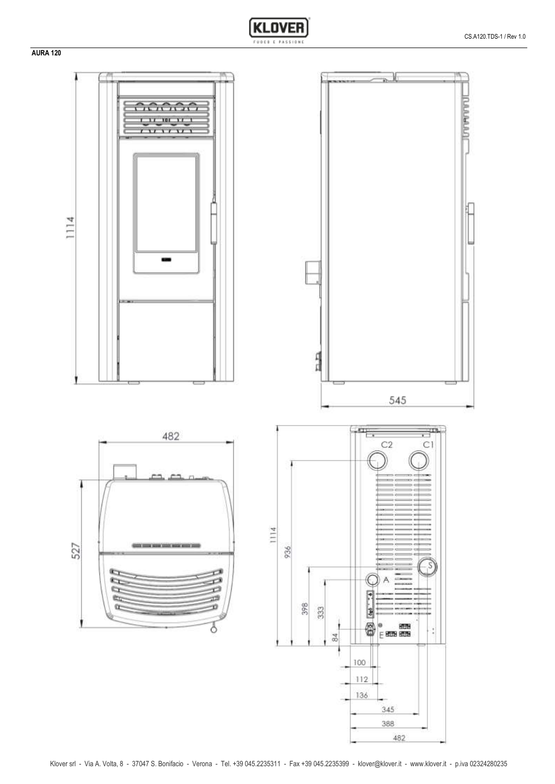